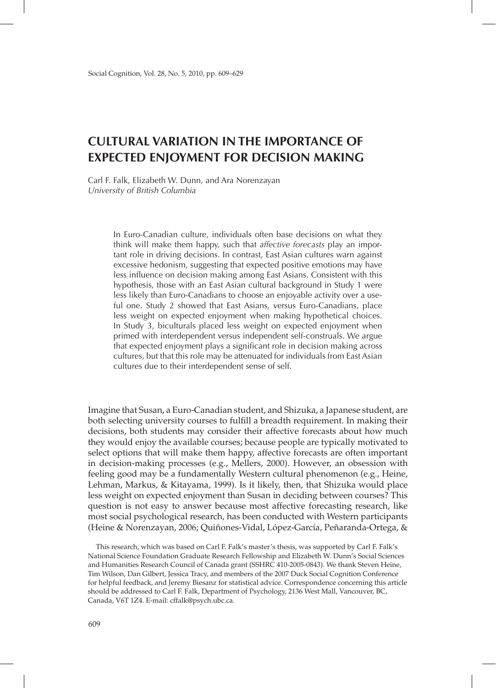# **Cultural Variation in the Importance of Expected Enjoyment for Decision Making**

Carl F. Falk, Elizabeth W. Dunn, and Ara Norenzayan *University of British Columbia*

> In Euro-Canadian culture, individuals often base decisions on what they think will make them happy, such that *affective forecasts* play an important role in driving decisions. In contrast, East Asian cultures warn against excessive hedonism, suggesting that expected positive emotions may have less influence on decision making among East Asians. Consistent with this hypothesis, those with an East Asian cultural background in Study 1 were less likely than Euro-Canadians to choose an enjoyable activity over a useful one. Study 2 showed that East Asians, versus Euro-Canadians, place less weight on expected enjoyment when making hypothetical choices. In Study 3, biculturals placed less weight on expected enjoyment when primed with interdependent versus independent self-construals. We argue that expected enjoyment plays a significant role in decision making across cultures, but that this role may be attenuated for individuals from East Asian cultures due to their interdependent sense of self.

Imagine that Susan, a Euro-Canadian student, and Shizuka, a Japanese student, are both selecting university courses to fulfill a breadth requirement. In making their decisions, both students may consider their affective forecasts about how much they would enjoy the available courses; because people are typically motivated to select options that will make them happy, affective forecasts are often important in decision-making processes (e.g., Mellers, 2000). However, an obsession with feeling good may be a fundamentally Western cultural phenomenon (e.g., Heine, Lehman, Markus, & Kitayama, 1999). Is it likely, then, that Shizuka would place less weight on expected enjoyment than Susan in deciding between courses? This question is not easy to answer because most affective forecasting research, like most social psychological research, has been conducted with Western participants (Heine & Norenzayan, 2006; Quiñones-Vidal, López-García, Peñaranda-Ortega, &

This research, which was based on Carl F. Falk's master's thesis, was supported by Carl F. Falk's National Science Foundation Graduate Research Fellowship and Elizabeth W. Dunn's Social Sciences and Humanities Research Council of Canada grant (SSHRC 410-2005-0843). We thank Steven Heine, Tim Wilson, Dan Gilbert, Jessica Tracy, and members of the 2007 Duck Social Cognition Conference for helpful feedback, and Jeremy Biesanz for statistical advice. Correspondence concerning this article should be addressed to Carl F. Falk, Department of Psychology, 2136 West Mall, Vancouver, BC, Canada, V6T 1Z4. E-mail: cffalk@psych.ubc.ca.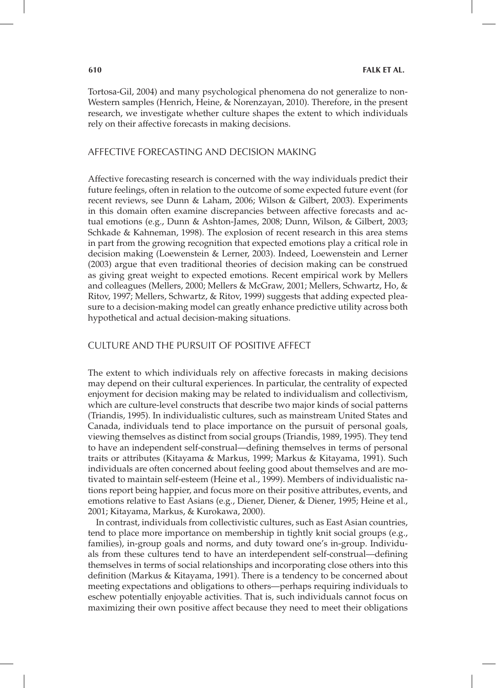Tortosa-Gil, 2004) and many psychological phenomena do not generalize to non-Western samples (Henrich, Heine, & Norenzayan, 2010). Therefore, in the present research, we investigate whether culture shapes the extent to which individuals rely on their affective forecasts in making decisions.

# Affective Forecasting and Decision Making

Affective forecasting research is concerned with the way individuals predict their future feelings, often in relation to the outcome of some expected future event (for recent reviews, see Dunn & Laham, 2006; Wilson & Gilbert, 2003). Experiments in this domain often examine discrepancies between affective forecasts and actual emotions (e.g., Dunn & Ashton-James, 2008; Dunn, Wilson, & Gilbert, 2003; Schkade & Kahneman, 1998). The explosion of recent research in this area stems in part from the growing recognition that expected emotions play a critical role in decision making (Loewenstein & Lerner, 2003). Indeed, Loewenstein and Lerner (2003) argue that even traditional theories of decision making can be construed as giving great weight to expected emotions. Recent empirical work by Mellers and colleagues (Mellers, 2000; Mellers & McGraw, 2001; Mellers, Schwartz, Ho, & Ritov, 1997; Mellers, Schwartz, & Ritov, 1999) suggests that adding expected pleasure to a decision-making model can greatly enhance predictive utility across both hypothetical and actual decision-making situations.

# Culture and the Pursuit of Positive Affect

The extent to which individuals rely on affective forecasts in making decisions may depend on their cultural experiences. In particular, the centrality of expected enjoyment for decision making may be related to individualism and collectivism, which are culture-level constructs that describe two major kinds of social patterns (Triandis, 1995). In individualistic cultures, such as mainstream United States and Canada, individuals tend to place importance on the pursuit of personal goals, viewing themselves as distinct from social groups (Triandis, 1989, 1995). They tend to have an independent self-construal—defining themselves in terms of personal traits or attributes (Kitayama & Markus, 1999; Markus & Kitayama, 1991). Such individuals are often concerned about feeling good about themselves and are motivated to maintain self-esteem (Heine et al., 1999). Members of individualistic nations report being happier, and focus more on their positive attributes, events, and emotions relative to East Asians (e.g., Diener, Diener, & Diener, 1995; Heine et al., 2001; Kitayama, Markus, & Kurokawa, 2000).

In contrast, individuals from collectivistic cultures, such as East Asian countries, tend to place more importance on membership in tightly knit social groups (e.g., families), in-group goals and norms, and duty toward one's in-group. Individuals from these cultures tend to have an interdependent self-construal—defining themselves in terms of social relationships and incorporating close others into this definition (Markus & Kitayama, 1991). There is a tendency to be concerned about meeting expectations and obligations to others—perhaps requiring individuals to eschew potentially enjoyable activities. That is, such individuals cannot focus on maximizing their own positive affect because they need to meet their obligations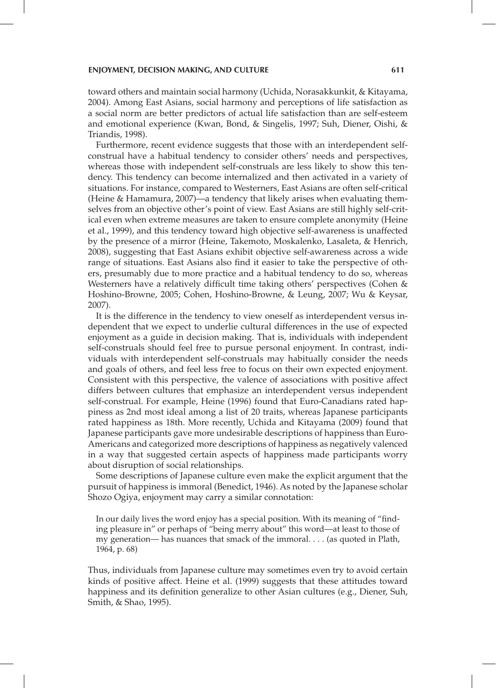toward others and maintain social harmony (Uchida, Norasakkunkit, & Kitayama, 2004). Among East Asians, social harmony and perceptions of life satisfaction as a social norm are better predictors of actual life satisfaction than are self-esteem and emotional experience (Kwan, Bond, & Singelis, 1997; Suh, Diener, Oishi, & Triandis, 1998).

Furthermore, recent evidence suggests that those with an interdependent selfconstrual have a habitual tendency to consider others' needs and perspectives, whereas those with independent self-construals are less likely to show this tendency. This tendency can become internalized and then activated in a variety of situations. For instance, compared to Westerners, East Asians are often self-critical (Heine & Hamamura, 2007)—a tendency that likely arises when evaluating themselves from an objective other's point of view. East Asians are still highly self-critical even when extreme measures are taken to ensure complete anonymity (Heine et al., 1999), and this tendency toward high objective self-awareness is unaffected by the presence of a mirror (Heine, Takemoto, Moskalenko, Lasaleta, & Henrich, 2008), suggesting that East Asians exhibit objective self-awareness across a wide range of situations. East Asians also find it easier to take the perspective of others, presumably due to more practice and a habitual tendency to do so, whereas Westerners have a relatively difficult time taking others' perspectives (Cohen & Hoshino-Browne, 2005; Cohen, Hoshino-Browne, & Leung, 2007; Wu & Keysar, 2007).

It is the difference in the tendency to view oneself as interdependent versus independent that we expect to underlie cultural differences in the use of expected enjoyment as a guide in decision making. That is, individuals with independent self-construals should feel free to pursue personal enjoyment. In contrast, individuals with interdependent self-construals may habitually consider the needs and goals of others, and feel less free to focus on their own expected enjoyment. Consistent with this perspective, the valence of associations with positive affect differs between cultures that emphasize an interdependent versus independent self-construal. For example, Heine (1996) found that Euro-Canadians rated happiness as 2nd most ideal among a list of 20 traits, whereas Japanese participants rated happiness as 18th. More recently, Uchida and Kitayama (2009) found that Japanese participants gave more undesirable descriptions of happiness than Euro-Americans and categorized more descriptions of happiness as negatively valenced in a way that suggested certain aspects of happiness made participants worry about disruption of social relationships.

Some descriptions of Japanese culture even make the explicit argument that the pursuit of happiness is immoral (Benedict, 1946). As noted by the Japanese scholar Shozo Ogiya, enjoyment may carry a similar connotation:

In our daily lives the word enjoy has a special position. With its meaning of "finding pleasure in" or perhaps of "being merry about" this word—at least to those of my generation— has nuances that smack of the immoral. . . . (as quoted in Plath, 1964, p. 68)

Thus, individuals from Japanese culture may sometimes even try to avoid certain kinds of positive affect. Heine et al. (1999) suggests that these attitudes toward happiness and its definition generalize to other Asian cultures (e.g., Diener, Suh, Smith, & Shao, 1995).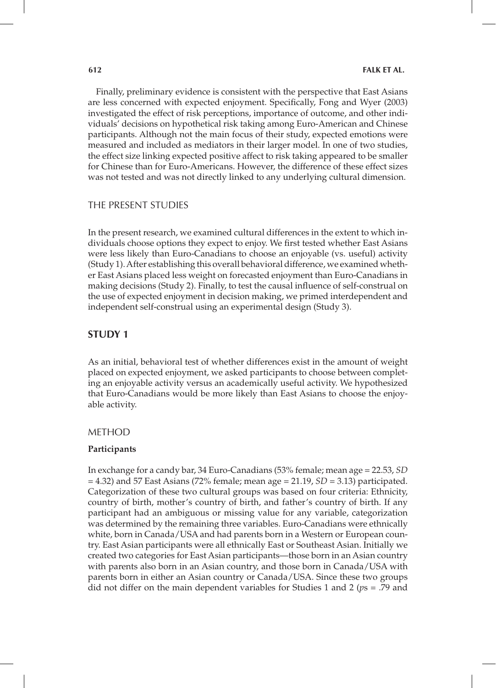Finally, preliminary evidence is consistent with the perspective that East Asians are less concerned with expected enjoyment. Specifically, Fong and Wyer (2003) investigated the effect of risk perceptions, importance of outcome, and other individuals' decisions on hypothetical risk taking among Euro-American and Chinese participants. Although not the main focus of their study, expected emotions were measured and included as mediators in their larger model. In one of two studies, the effect size linking expected positive affect to risk taking appeared to be smaller for Chinese than for Euro-Americans. However, the difference of these effect sizes was not tested and was not directly linked to any underlying cultural dimension.

# The Present Studies

In the present research, we examined cultural differences in the extent to which individuals choose options they expect to enjoy. We first tested whether East Asians were less likely than Euro-Canadians to choose an enjoyable (vs. useful) activity (Study 1). After establishing this overall behavioral difference, we examined whether East Asians placed less weight on forecasted enjoyment than Euro-Canadians in making decisions (Study 2). Finally, to test the causal influence of self-construal on the use of expected enjoyment in decision making, we primed interdependent and independent self-construal using an experimental design (Study 3).

# **Study 1**

As an initial, behavioral test of whether differences exist in the amount of weight placed on expected enjoyment, we asked participants to choose between completing an enjoyable activity versus an academically useful activity. We hypothesized that Euro-Canadians would be more likely than East Asians to choose the enjoyable activity.

#### **METHOD**

#### **Participants**

In exchange for a candy bar, 34 Euro-Canadians (53% female; mean age = 22.53, *SD* = 4.32) and 57 East Asians (72% female; mean age = 21.19, *SD* = 3.13) participated. Categorization of these two cultural groups was based on four criteria: Ethnicity, country of birth, mother's country of birth, and father's country of birth. If any participant had an ambiguous or missing value for any variable, categorization was determined by the remaining three variables. Euro-Canadians were ethnically white, born in Canada/USA and had parents born in a Western or European country. East Asian participants were all ethnically East or Southeast Asian. Initially we created two categories for East Asian participants—those born in an Asian country with parents also born in an Asian country, and those born in Canada/USA with parents born in either an Asian country or Canada/USA. Since these two groups did not differ on the main dependent variables for Studies 1 and 2 (*p*s = .79 and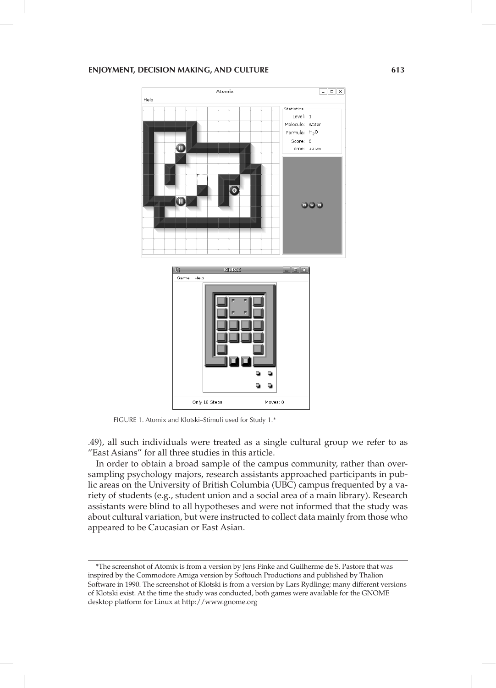

FIGURE 1. Atomix and Klotski-Stimuli used for Study 1.\*

.49), all such individuals were treated as a single cultural group we refer to as "East Asians" for all three studies in this article.

In order to obtain a broad sample of the campus community, rather than oversampling psychology majors, research assistants approached participants in public areas on the University of British Columbia (UBC) campus frequented by a variety of students (e.g., student union and a social area of a main library). Research assistants were blind to all hypotheses and were not informed that the study was about cultural variation, but were instructed to collect data mainly from those who appeared to be Caucasian or East Asian.

<sup>\*</sup>The screenshot of Atomix is from a version by Jens Finke and Guilherme de S. Pastore that was inspired by the Commodore Amiga version by Softouch Productions and published by Thalion Software in 1990. The screenshot of Klotski is from a version by Lars Rydlinge; many different versions of Klotski exist. At the time the study was conducted, both games were available for the GNOME desktop platform for Linux at http://www.gnome.org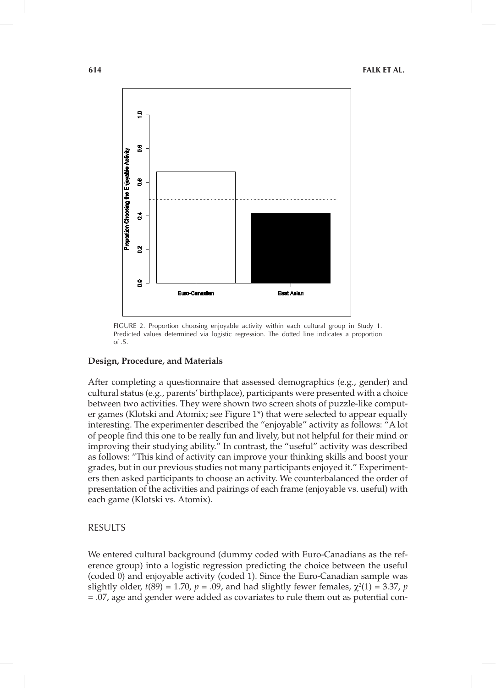

FIGURE 2. Proportion choosing enjoyable activity within each cultural group in Study 1. Predicted values determined via logistic regression. The dotted line indicates a proportion of .5.

### **Design, Procedure, and Materials**

After completing a questionnaire that assessed demographics (e.g., gender) and cultural status (e.g., parents' birthplace), participants were presented with a choice between two activities. They were shown two screen shots of puzzle-like computer games (Klotski and Atomix; see Figure 1\*) that were selected to appear equally interesting. The experimenter described the "enjoyable" activity as follows: "A lot of people find this one to be really fun and lively, but not helpful for their mind or improving their studying ability." In contrast, the "useful" activity was described as follows: "This kind of activity can improve your thinking skills and boost your grades, but in our previous studies not many participants enjoyed it." Experimenters then asked participants to choose an activity. We counterbalanced the order of presentation of the activities and pairings of each frame (enjoyable vs. useful) with each game (Klotski vs. Atomix).

# **RESULTS**

We entered cultural background (dummy coded with Euro-Canadians as the reference group) into a logistic regression predicting the choice between the useful (coded 0) and enjoyable activity (coded 1). Since the Euro-Canadian sample was slightly older,  $t(89) = 1.70$ ,  $p = .09$ , and had slightly fewer females,  $\chi^2(1) = 3.37$ ,  $p$ = .07, age and gender were added as covariates to rule them out as potential con-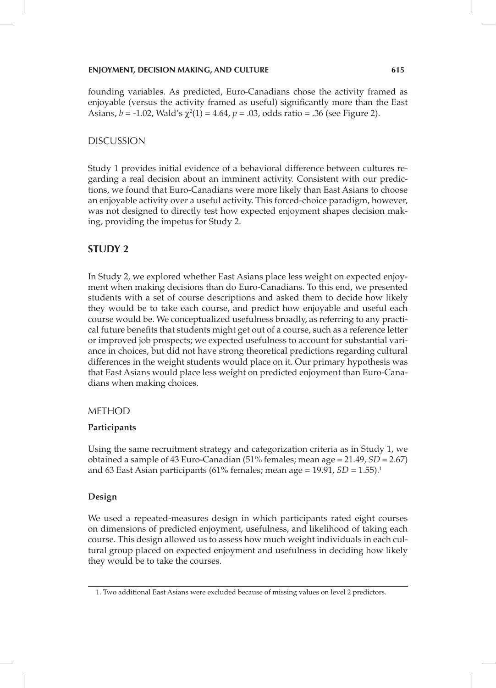founding variables. As predicted, Euro-Canadians chose the activity framed as enjoyable (versus the activity framed as useful) significantly more than the East Asians, *b* = -1.02, Wald's  $\chi^2(1)$  = 4.64, *p* = .03, odds ratio = .36 (see Figure 2).

# Discussion

Study 1 provides initial evidence of a behavioral difference between cultures regarding a real decision about an imminent activity. Consistent with our predictions, we found that Euro-Canadians were more likely than East Asians to choose an enjoyable activity over a useful activity. This forced-choice paradigm, however, was not designed to directly test how expected enjoyment shapes decision making, providing the impetus for Study 2.

# **Study 2**

In Study 2, we explored whether East Asians place less weight on expected enjoyment when making decisions than do Euro-Canadians. To this end, we presented students with a set of course descriptions and asked them to decide how likely they would be to take each course, and predict how enjoyable and useful each course would be. We conceptualized usefulness broadly, as referring to any practical future benefits that students might get out of a course, such as a reference letter or improved job prospects; we expected usefulness to account for substantial variance in choices, but did not have strong theoretical predictions regarding cultural differences in the weight students would place on it. Our primary hypothesis was that East Asians would place less weight on predicted enjoyment than Euro-Canadians when making choices.

# **METHOD**

# **Participants**

Using the same recruitment strategy and categorization criteria as in Study 1, we obtained a sample of 43 Euro-Canadian (51% females; mean age = 21.49, *SD* = 2.67) and 63 East Asian participants (61% females; mean age =  $19.91$ ,  $SD = 1.55$ ).<sup>1</sup>

#### **Design**

We used a repeated-measures design in which participants rated eight courses on dimensions of predicted enjoyment, usefulness, and likelihood of taking each course. This design allowed us to assess how much weight individuals in each cultural group placed on expected enjoyment and usefulness in deciding how likely they would be to take the courses.

<sup>1.</sup> Two additional East Asians were excluded because of missing values on level 2 predictors.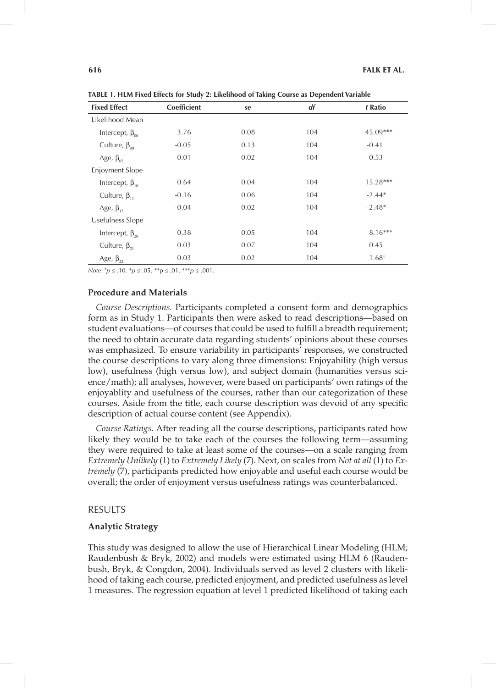| <b>Fixed Effect</b>       | Coefficient | se   | df  | t Ratio    |
|---------------------------|-------------|------|-----|------------|
| Likelihood Mean           |             |      |     |            |
| Intercept, $\beta_{00}$   | 3.76        | 0.08 | 104 | 45.09***   |
| Culture, $\beta_{\infty}$ | $-0.05$     | 0.13 | 104 | $-0.41$    |
| Age, $\beta_{02}$         | 0.01        | 0.02 | 104 | 0.53       |
| <b>Enjoyment Slope</b>    |             |      |     |            |
| Intercept, $\beta_{10}$   | 0.64        | 0.04 | 104 | $15.28***$ |
| Culture, $\beta_{11}$     | $-0.16$     | 0.06 | 104 | $-2.44*$   |
| Age, $\beta_{12}$         | $-0.04$     | 0.02 | 104 | $-2.48*$   |
| Usefulness Slope          |             |      |     |            |
| Intercept, $\beta_{20}$   | 0.38        | 0.05 | 104 | $8.16***$  |
| Culture, $\beta_{21}$     | 0.03        | 0.07 | 104 | 0.45       |
| Age, $\beta_{22}$         | 0.03        | 0.02 | 104 | $1.68^{+}$ |

**TABLE 1. HLM Fixed Effects for Study 2: Likelihood of Taking Course as Dependent Variable**

*Note*. † *p* ≤ .10. \**p* ≤ .05. \*\*p ≤ .01. \*\*\**p* ≤ .001.

#### **Procedure and Materials**

*Course Descriptions.* Participants completed a consent form and demographics form as in Study 1. Participants then were asked to read descriptions—based on student evaluations—of courses that could be used to fulfill a breadth requirement; the need to obtain accurate data regarding students' opinions about these courses was emphasized. To ensure variability in participants' responses, we constructed the course descriptions to vary along three dimensions: Enjoyability (high versus low), usefulness (high versus low), and subject domain (humanities versus science/math); all analyses, however, were based on participants' own ratings of the enjoyablity and usefulness of the courses, rather than our categorization of these courses. Aside from the title, each course description was devoid of any specific description of actual course content (see Appendix).

*Course Ratings.* After reading all the course descriptions, participants rated how likely they would be to take each of the courses the following term—assuming they were required to take at least some of the courses—on a scale ranging from *Extremely Unlikely* (1) to *Extremely Likely* (7). Next, on scales from *Not at all* (1) to *Extremely* (7), participants predicted how enjoyable and useful each course would be overall; the order of enjoyment versus usefulness ratings was counterbalanced.

#### Results

#### **Analytic Strategy**

This study was designed to allow the use of Hierarchical Linear Modeling (HLM; Raudenbush & Bryk, 2002) and models were estimated using HLM 6 (Raudenbush, Bryk, & Congdon, 2004). Individuals served as level 2 clusters with likelihood of taking each course, predicted enjoyment, and predicted usefulness as level 1 measures. The regression equation at level 1 predicted likelihood of taking each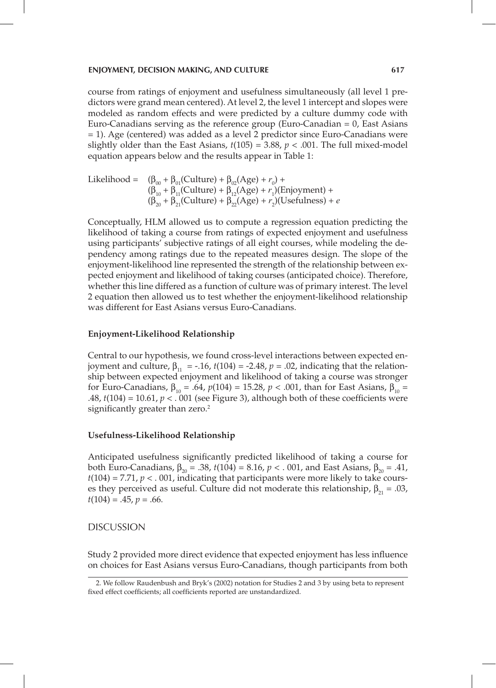course from ratings of enjoyment and usefulness simultaneously (all level 1 predictors were grand mean centered). At level 2, the level 1 intercept and slopes were modeled as random effects and were predicted by a culture dummy code with Euro-Canadians serving as the reference group (Euro-Canadian = 0, East Asians = 1). Age (centered) was added as a level 2 predictor since Euro-Canadians were slightly older than the East Asians,  $t(105) = 3.88$ ,  $p < .001$ . The full mixed-model equation appears below and the results appear in Table 1:

Likelihood = 
$$
(\beta_{00} + \beta_{01}(\text{Culture}) + \beta_{02}(\text{Age}) + r_0) +
$$
  
\n $(\beta_{10} + \beta_{11}(\text{Culture}) + \beta_{12}(\text{Age}) + r_1)(\text{Enjoyment}) +$   
\n $(\beta_{20} + \beta_{21}(\text{Culture}) + \beta_{22}(\text{Age}) + r_2)(\text{Usefulness}) + e$ 

Conceptually, HLM allowed us to compute a regression equation predicting the likelihood of taking a course from ratings of expected enjoyment and usefulness using participants' subjective ratings of all eight courses, while modeling the dependency among ratings due to the repeated measures design. The slope of the enjoyment-likelihood line represented the strength of the relationship between expected enjoyment and likelihood of taking courses (anticipated choice). Therefore, whether this line differed as a function of culture was of primary interest. The level 2 equation then allowed us to test whether the enjoyment-likelihood relationship was different for East Asians versus Euro-Canadians.

#### **Enjoyment-Likelihood Relationship**

Central to our hypothesis, we found cross-level interactions between expected enjoyment and culture,  $β_{11} = -.16$ ,  $t(104) = -2.48$ ,  $p = .02$ , indicating that the relationship between expected enjoyment and likelihood of taking a course was stronger for Euro-Canadians,  $β_{10} = .64$ ,  $p(104) = 15.28$ ,  $p < .001$ , than for East Asians,  $β_{10} =$ .48,  $t(104) = 10.61$ ,  $p < .001$  (see Figure 3), although both of these coefficients were significantly greater than zero.<sup>2</sup>

#### **Usefulness-Likelihood Relationship**

Anticipated usefulness significantly predicted likelihood of taking a course for both Euro-Canadians,  $β_{20} = .38$ ,  $t(104) = 8.16$ ,  $p < .001$ , and East Asians,  $β_{20} = .41$ ,  $t(104) = 7.71$ ,  $p < .001$ , indicating that participants were more likely to take courses they perceived as useful. Culture did not moderate this relationship,  $\beta_{21} = .03$ ,  $t(104) = .45, p = .66.$ 

#### Discussion

Study 2 provided more direct evidence that expected enjoyment has less influence on choices for East Asians versus Euro-Canadians, though participants from both

<sup>2.</sup> We follow Raudenbush and Bryk's (2002) notation for Studies 2 and 3 by using beta to represent fixed effect coefficients; all coefficients reported are unstandardized.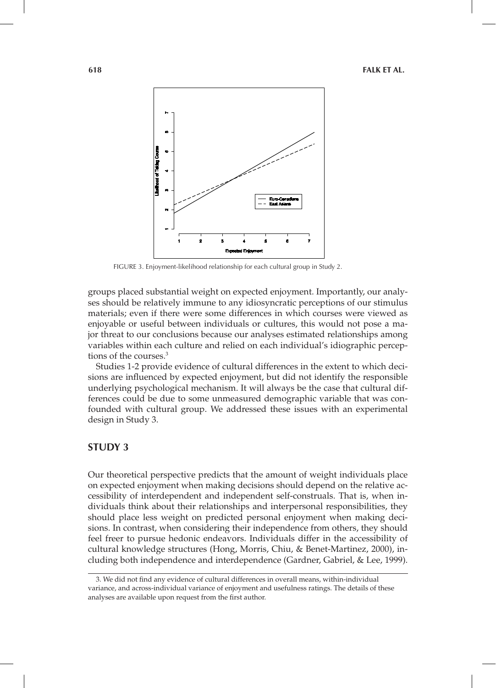

FIGURE 3. Enjoyment-likelihood relationship for each cultural group in Study 2.

groups placed substantial weight on expected enjoyment. Importantly, our analyses should be relatively immune to any idiosyncratic perceptions of our stimulus materials; even if there were some differences in which courses were viewed as enjoyable or useful between individuals or cultures, this would not pose a major threat to our conclusions because our analyses estimated relationships among variables within each culture and relied on each individual's idiographic perceptions of the courses.3

Studies 1-2 provide evidence of cultural differences in the extent to which decisions are influenced by expected enjoyment, but did not identify the responsible underlying psychological mechanism. It will always be the case that cultural differences could be due to some unmeasured demographic variable that was confounded with cultural group. We addressed these issues with an experimental design in Study 3.

# **Study 3**

Our theoretical perspective predicts that the amount of weight individuals place on expected enjoyment when making decisions should depend on the relative accessibility of interdependent and independent self-construals. That is, when individuals think about their relationships and interpersonal responsibilities, they should place less weight on predicted personal enjoyment when making decisions. In contrast, when considering their independence from others, they should feel freer to pursue hedonic endeavors. Individuals differ in the accessibility of cultural knowledge structures (Hong, Morris, Chiu, & Benet-Martinez, 2000), including both independence and interdependence (Gardner, Gabriel, & Lee, 1999).

<sup>3.</sup> We did not find any evidence of cultural differences in overall means, within-individual variance, and across-individual variance of enjoyment and usefulness ratings. The details of these analyses are available upon request from the first author.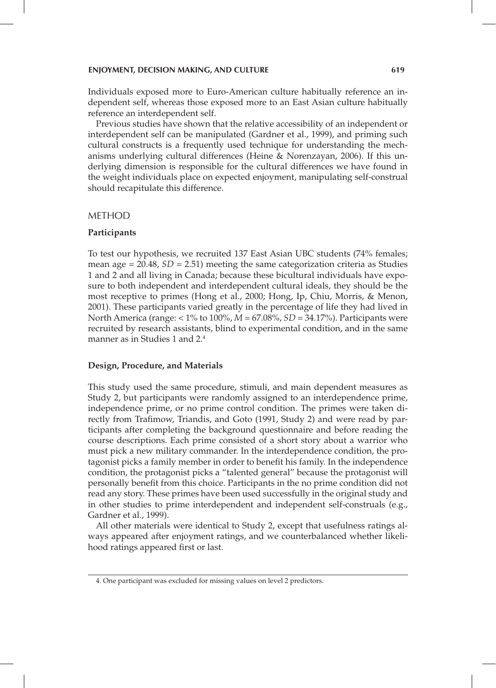Individuals exposed more to Euro-American culture habitually reference an independent self, whereas those exposed more to an East Asian culture habitually reference an interdependent self.

Previous studies have shown that the relative accessibility of an independent or interdependent self can be manipulated (Gardner et al., 1999), and priming such cultural constructs is a frequently used technique for understanding the mechanisms underlying cultural differences (Heine & Norenzayan, 2006). If this underlying dimension is responsible for the cultural differences we have found in the weight individuals place on expected enjoyment, manipulating self-construal should recapitulate this difference.

#### **METHOD**

#### **Participants**

To test our hypothesis, we recruited 137 East Asian UBC students (74% females; mean age  $= 20.48$ ,  $SD = 2.51$ ) meeting the same categorization criteria as Studies 1 and 2 and all living in Canada; because these bicultural individuals have exposure to both independent and interdependent cultural ideals, they should be the most receptive to primes (Hong et al., 2000; Hong, Ip, Chiu, Morris, & Menon, 2001). These participants varied greatly in the percentage of life they had lived in North America (range: < 1% to 100%, *M* = 67.08%, *SD* = 34.17%). Participants were recruited by research assistants, blind to experimental condition, and in the same manner as in Studies 1 and 2.4

#### **Design, Procedure, and Materials**

This study used the same procedure, stimuli, and main dependent measures as Study 2, but participants were randomly assigned to an interdependence prime, independence prime, or no prime control condition. The primes were taken directly from Trafimow, Triandis, and Goto (1991, Study 2) and were read by participants after completing the background questionnaire and before reading the course descriptions. Each prime consisted of a short story about a warrior who must pick a new military commander. In the interdependence condition, the protagonist picks a family member in order to benefit his family. In the independence condition, the protagonist picks a "talented general" because the protagonist will personally benefit from this choice. Participants in the no prime condition did not read any story. These primes have been used successfully in the original study and in other studies to prime interdependent and independent self-construals (e.g., Gardner et al., 1999).

All other materials were identical to Study 2, except that usefulness ratings always appeared after enjoyment ratings, and we counterbalanced whether likelihood ratings appeared first or last.

<sup>4.</sup> One participant was excluded for missing values on level 2 predictors.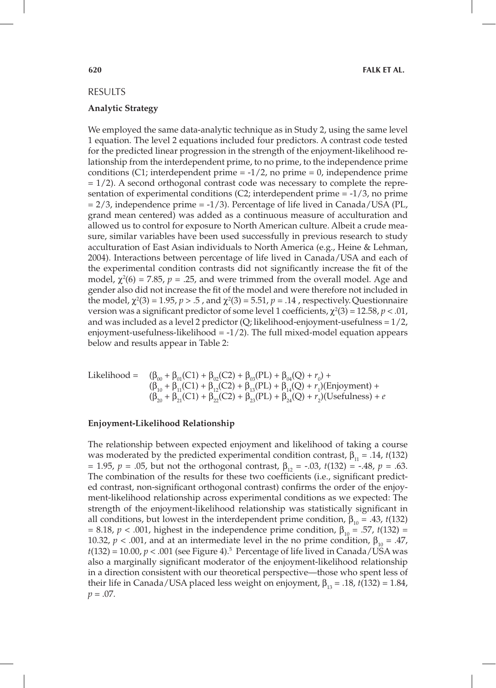#### **RESULTS**

#### **Analytic Strategy**

We employed the same data-analytic technique as in Study 2, using the same level 1 equation. The level 2 equations included four predictors. A contrast code tested for the predicted linear progression in the strength of the enjoyment-likelihood relationship from the interdependent prime, to no prime, to the independence prime conditions (C1; interdependent prime  $= -1/2$ , no prime  $= 0$ , independence prime  $= 1/2$ ). A second orthogonal contrast code was necessary to complete the representation of experimental conditions (C2; interdependent prime  $= -1/3$ , no prime  $= 2/3$ , independence prime  $= -1/3$ ). Percentage of life lived in Canada/USA (PL, grand mean centered) was added as a continuous measure of acculturation and allowed us to control for exposure to North American culture. Albeit a crude measure, similar variables have been used successfully in previous research to study acculturation of East Asian individuals to North America (e.g., Heine & Lehman, 2004). Interactions between percentage of life lived in Canada/USA and each of the experimental condition contrasts did not significantly increase the fit of the model,  $\chi^2(6) = 7.85$ ,  $p = .25$ , and were trimmed from the overall model. Age and gender also did not increase the fit of the model and were therefore not included in the model,  $\chi^2(3) = 1.95$ ,  $p > .5$ , and  $\chi^2(3) = 5.51$ ,  $p = .14$ , respectively. Questionnaire version was a significant predictor of some level 1 coefficients,  $\chi^2(3) = 12.58$ ,  $p < .01$ , and was included as a level 2 predictor (Q; likelihood-enjoyment-usefulness = 1/2, enjoyment-usefulness-likelihood  $= -1/2$ ). The full mixed-model equation appears below and results appear in Table 2:

| Likelihood = | $(\beta_{00} + \beta_{01}(C1) + \beta_{02}(C2) + \beta_{03}(PL) + \beta_{04}(Q) + r_0) +$               |
|--------------|---------------------------------------------------------------------------------------------------------|
|              | $(\beta_{10} + \beta_{11}(C1) + \beta_{12}(C2) + \beta_{13}(PL) + \beta_{14}(Q) + r_1)(Enjoyment) +$    |
|              | $(\beta_{20} + \beta_{21}(C1) + \beta_{22}(C2) + \beta_{23}(PL) + \beta_{24}(Q) + r_2)(Usefulness) + e$ |

#### **Enjoyment-Likelihood Relationship**

The relationship between expected enjoyment and likelihood of taking a course was moderated by the predicted experimental condition contrast,  $\beta_{11} = .14$ , *t*(132) = 1.95, *p* = .05, but not the orthogonal contrast,  $β_1$ , = -.03, *t*(132) = -.48, *p* = .63. The combination of the results for these two coefficients (i.e., significant predicted contrast, non-significant orthogonal contrast) confirms the order of the enjoyment-likelihood relationship across experimental conditions as we expected: The strength of the enjoyment-likelihood relationship was statistically significant in all conditions, but lowest in the interdependent prime condition,  $β_{10} = .43, t(132)$ = 8.18, *p* < .001, highest in the independence prime condition,  $β_{10}$  = .57, *t*(132) = 10.32,  $p < .001$ , and at an intermediate level in the no prime condition,  $\beta_{10} = .47$ ,  $t(132) = 10.00, p < .001$  (see Figure 4).<sup>5</sup> Percentage of life lived in Canada/USA was also a marginally significant moderator of the enjoyment-likelihood relationship in a direction consistent with our theoretical perspective—those who spent less of their life in Canada/USA placed less weight on enjoyment,  $β<sub>13</sub> = .18$ ,  $t(132) = 1.84$ ,  $p = .07$ .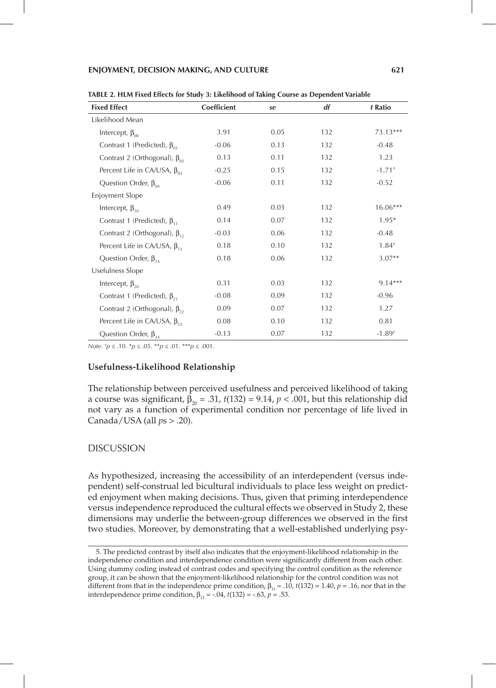| <b>Fixed Effect</b>                   | Coefficient | se   | df  | t Ratio              |  |  |  |
|---------------------------------------|-------------|------|-----|----------------------|--|--|--|
| Likelihood Mean                       |             |      |     |                      |  |  |  |
| Intercept, $\beta_{00}$               | 3.91        | 0.05 | 132 | 73.13***             |  |  |  |
| Contrast 1 (Predicted), $\beta_{01}$  | $-0.06$     | 0.13 | 132 | $-0.48$              |  |  |  |
| Contrast 2 (Orthogonal), $\beta_{02}$ | 0.13        | 0.11 | 132 | 1.23                 |  |  |  |
| Percent Life in CA/USA, $\beta_{03}$  | $-0.25$     | 0.15 | 132 | $-1.71$ <sup>+</sup> |  |  |  |
| Question Order, $\beta_{04}$          | $-0.06$     | 0.11 | 132 | $-0.52$              |  |  |  |
| <b>Enjoyment Slope</b>                |             |      |     |                      |  |  |  |
| Intercept, $\beta_{10}$               | 0.49        | 0.03 | 132 | $16.06***$           |  |  |  |
| Contrast 1 (Predicted), $\beta_{11}$  | 0.14        | 0.07 | 132 | $1.95*$              |  |  |  |
| Contrast 2 (Orthogonal), $\beta_{12}$ | $-0.03$     | 0.06 | 132 | $-0.48$              |  |  |  |
| Percent Life in CA/USA, $\beta_{13}$  | 0.18        | 0.10 | 132 | $1.84^{+}$           |  |  |  |
| Question Order, $\beta_{14}$          | 0.18        | 0.06 | 132 | $3.07**$             |  |  |  |
| Usefulness Slope                      |             |      |     |                      |  |  |  |
| Intercept, $\beta_{20}$               | 0.31        | 0.03 | 132 | $9.14***$            |  |  |  |
| Contrast 1 (Predicted), $\beta_{21}$  | $-0.08$     | 0.09 | 132 | $-0.96$              |  |  |  |
| Contrast 2 (Orthogonal), $\beta_{22}$ | 0.09        | 0.07 | 132 | 1.27                 |  |  |  |
| Percent Life in CA/USA, $\beta_{23}$  | 0.08        | 0.10 | 132 | 0.81                 |  |  |  |
| Question Order, $\beta_{24}$          | $-0.13$     | 0.07 | 132 | $-1.89$ <sup>+</sup> |  |  |  |

**TABLE 2. HLM Fixed Effects for Study 3: Likelihood of Taking Course as Dependent Variable**

*Note*. † *p* ≤ .10. \**p* ≤ .05. \*\**p* ≤ .01. \*\*\**p* ≤ .001.

#### **Usefulness-Likelihood Relationship**

The relationship between perceived usefulness and perceived likelihood of taking a course was significant,  $\beta_{20} = .31$ ,  $t(132) = 9.14$ ,  $p < .001$ , but this relationship did not vary as a function of experimental condition nor percentage of life lived in Canada/USA (all *p*s > .20).

# Discussion

As hypothesized, increasing the accessibility of an interdependent (versus independent) self-construal led bicultural individuals to place less weight on predicted enjoyment when making decisions. Thus, given that priming interdependence versus independence reproduced the cultural effects we observed in Study 2, these dimensions may underlie the between-group differences we observed in the first two studies. Moreover, by demonstrating that a well-established underlying psy-

<sup>5.</sup> The predicted contrast by itself also indicates that the enjoyment-likelihood relationship in the independence condition and interdependence condition were significantly different from each other. Using dummy coding instead of contrast codes and specifying the control condition as the reference group, it can be shown that the enjoyment-likelihood relationship for the control condition was not different from that in the independence prime condition,  $β<sub>11</sub> = .10$ ,  $t(132) = 1.40$ ,  $p = .16$ , nor that in the interdependence prime condition,  $β_{12} = -.04$ ,  $t(132) = -.63$ ,  $p = .53$ .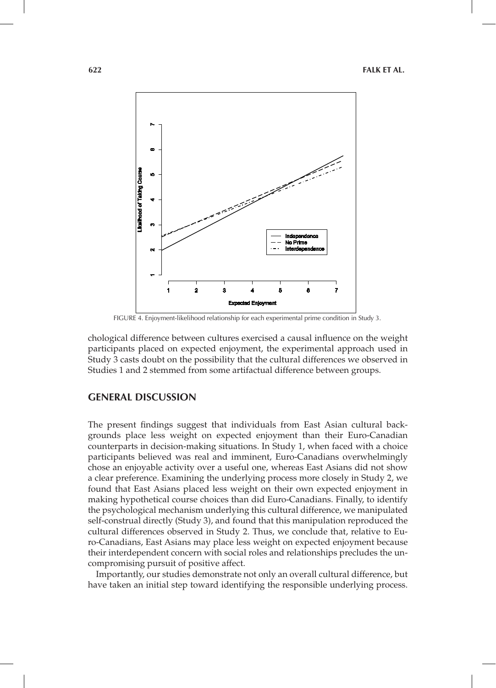

FIGURE 4. Enjoyment-likelihood relationship for each experimental prime condition in Study 3.

chological difference between cultures exercised a causal influence on the weight participants placed on expected enjoyment, the experimental approach used in Study 3 casts doubt on the possibility that the cultural differences we observed in Studies 1 and 2 stemmed from some artifactual difference between groups.

# **General Discussion**

The present findings suggest that individuals from East Asian cultural backgrounds place less weight on expected enjoyment than their Euro-Canadian counterparts in decision-making situations. In Study 1, when faced with a choice participants believed was real and imminent, Euro-Canadians overwhelmingly chose an enjoyable activity over a useful one, whereas East Asians did not show a clear preference. Examining the underlying process more closely in Study 2, we found that East Asians placed less weight on their own expected enjoyment in making hypothetical course choices than did Euro-Canadians. Finally, to identify the psychological mechanism underlying this cultural difference, we manipulated self-construal directly (Study 3), and found that this manipulation reproduced the cultural differences observed in Study 2. Thus, we conclude that, relative to Euro-Canadians, East Asians may place less weight on expected enjoyment because their interdependent concern with social roles and relationships precludes the uncompromising pursuit of positive affect.

Importantly, our studies demonstrate not only an overall cultural difference, but have taken an initial step toward identifying the responsible underlying process.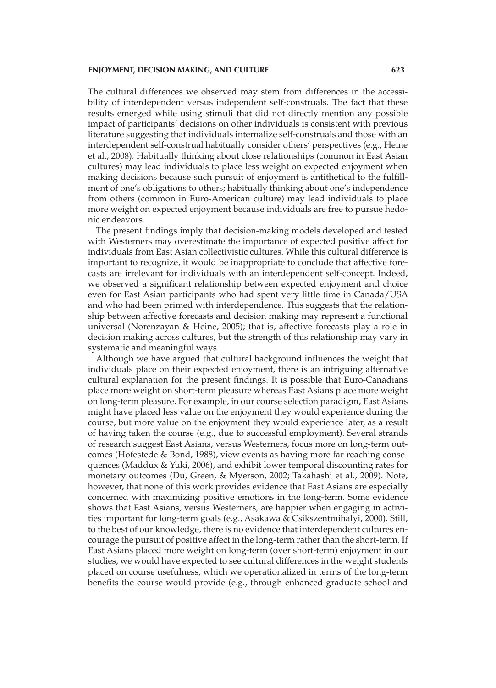The cultural differences we observed may stem from differences in the accessibility of interdependent versus independent self-construals. The fact that these results emerged while using stimuli that did not directly mention any possible impact of participants' decisions on other individuals is consistent with previous literature suggesting that individuals internalize self-construals and those with an interdependent self-construal habitually consider others' perspectives (e.g., Heine et al., 2008). Habitually thinking about close relationships (common in East Asian cultures) may lead individuals to place less weight on expected enjoyment when making decisions because such pursuit of enjoyment is antithetical to the fulfillment of one's obligations to others; habitually thinking about one's independence from others (common in Euro-American culture) may lead individuals to place more weight on expected enjoyment because individuals are free to pursue hedonic endeavors.

The present findings imply that decision-making models developed and tested with Westerners may overestimate the importance of expected positive affect for individuals from East Asian collectivistic cultures. While this cultural difference is important to recognize, it would be inappropriate to conclude that affective forecasts are irrelevant for individuals with an interdependent self-concept. Indeed, we observed a significant relationship between expected enjoyment and choice even for East Asian participants who had spent very little time in Canada/USA and who had been primed with interdependence. This suggests that the relationship between affective forecasts and decision making may represent a functional universal (Norenzayan & Heine, 2005); that is, affective forecasts play a role in decision making across cultures, but the strength of this relationship may vary in systematic and meaningful ways.

Although we have argued that cultural background influences the weight that individuals place on their expected enjoyment, there is an intriguing alternative cultural explanation for the present findings. It is possible that Euro-Canadians place more weight on short-term pleasure whereas East Asians place more weight on long-term pleasure. For example, in our course selection paradigm, East Asians might have placed less value on the enjoyment they would experience during the course, but more value on the enjoyment they would experience later, as a result of having taken the course (e.g., due to successful employment). Several strands of research suggest East Asians, versus Westerners, focus more on long-term outcomes (Hofestede & Bond, 1988), view events as having more far-reaching consequences (Maddux & Yuki, 2006), and exhibit lower temporal discounting rates for monetary outcomes (Du, Green, & Myerson, 2002; Takahashi et al., 2009). Note, however, that none of this work provides evidence that East Asians are especially concerned with maximizing positive emotions in the long-term. Some evidence shows that East Asians, versus Westerners, are happier when engaging in activities important for long-term goals (e.g., Asakawa & Csikszentmihalyi, 2000). Still, to the best of our knowledge, there is no evidence that interdependent cultures encourage the pursuit of positive affect in the long-term rather than the short-term. If East Asians placed more weight on long-term (over short-term) enjoyment in our studies, we would have expected to see cultural differences in the weight students placed on course usefulness, which we operationalized in terms of the long-term benefits the course would provide (e.g., through enhanced graduate school and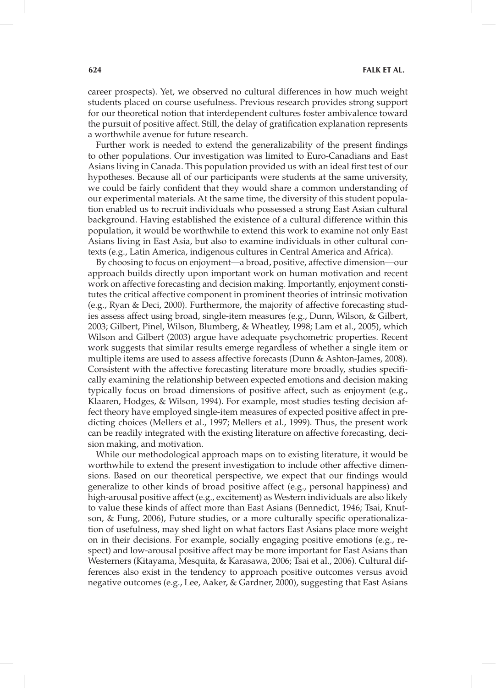career prospects). Yet, we observed no cultural differences in how much weight students placed on course usefulness. Previous research provides strong support for our theoretical notion that interdependent cultures foster ambivalence toward the pursuit of positive affect. Still, the delay of gratification explanation represents a worthwhile avenue for future research.

Further work is needed to extend the generalizability of the present findings to other populations. Our investigation was limited to Euro-Canadians and East Asians living in Canada. This population provided us with an ideal first test of our hypotheses. Because all of our participants were students at the same university, we could be fairly confident that they would share a common understanding of our experimental materials. At the same time, the diversity of this student population enabled us to recruit individuals who possessed a strong East Asian cultural background. Having established the existence of a cultural difference within this population, it would be worthwhile to extend this work to examine not only East Asians living in East Asia, but also to examine individuals in other cultural contexts (e.g., Latin America, indigenous cultures in Central America and Africa).

By choosing to focus on enjoyment—a broad, positive, affective dimension—our approach builds directly upon important work on human motivation and recent work on affective forecasting and decision making. Importantly, enjoyment constitutes the critical affective component in prominent theories of intrinsic motivation (e.g., Ryan & Deci, 2000). Furthermore, the majority of affective forecasting studies assess affect using broad, single-item measures (e.g., Dunn, Wilson, & Gilbert, 2003; Gilbert, Pinel, Wilson, Blumberg, & Wheatley, 1998; Lam et al., 2005), which Wilson and Gilbert (2003) argue have adequate psychometric properties. Recent work suggests that similar results emerge regardless of whether a single item or multiple items are used to assess affective forecasts (Dunn & Ashton-James, 2008). Consistent with the affective forecasting literature more broadly, studies specifically examining the relationship between expected emotions and decision making typically focus on broad dimensions of positive affect, such as enjoyment (e.g., Klaaren, Hodges, & Wilson, 1994). For example, most studies testing decision affect theory have employed single-item measures of expected positive affect in predicting choices (Mellers et al., 1997; Mellers et al., 1999). Thus, the present work can be readily integrated with the existing literature on affective forecasting, decision making, and motivation.

While our methodological approach maps on to existing literature, it would be worthwhile to extend the present investigation to include other affective dimensions. Based on our theoretical perspective, we expect that our findings would generalize to other kinds of broad positive affect (e.g., personal happiness) and high-arousal positive affect (e.g., excitement) as Western individuals are also likely to value these kinds of affect more than East Asians (Bennedict, 1946; Tsai, Knutson, & Fung, 2006), Future studies, or a more culturally specific operationalization of usefulness, may shed light on what factors East Asians place more weight on in their decisions. For example, socially engaging positive emotions (e.g., respect) and low-arousal positive affect may be more important for East Asians than Westerners (Kitayama, Mesquita, & Karasawa, 2006; Tsai et al., 2006). Cultural differences also exist in the tendency to approach positive outcomes versus avoid negative outcomes (e.g., Lee, Aaker, & Gardner, 2000), suggesting that East Asians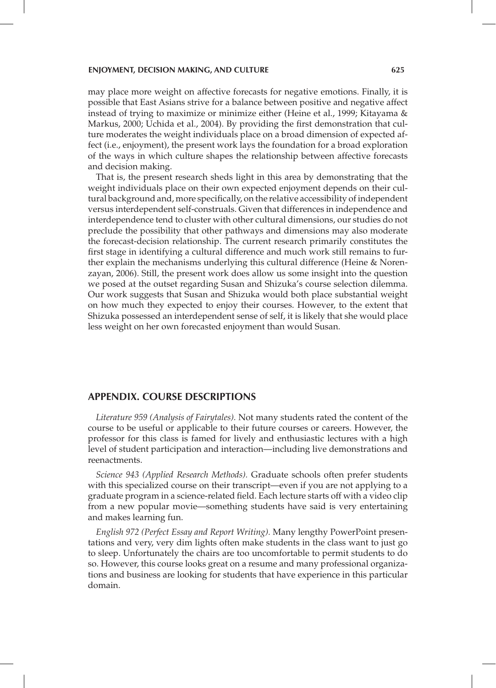may place more weight on affective forecasts for negative emotions. Finally, it is possible that East Asians strive for a balance between positive and negative affect instead of trying to maximize or minimize either (Heine et al., 1999; Kitayama & Markus, 2000; Uchida et al., 2004). By providing the first demonstration that culture moderates the weight individuals place on a broad dimension of expected affect (i.e., enjoyment), the present work lays the foundation for a broad exploration of the ways in which culture shapes the relationship between affective forecasts and decision making.

That is, the present research sheds light in this area by demonstrating that the weight individuals place on their own expected enjoyment depends on their cultural background and, more specifically, on the relative accessibility of independent versus interdependent self-construals. Given that differences in independence and interdependence tend to cluster with other cultural dimensions, our studies do not preclude the possibility that other pathways and dimensions may also moderate the forecast-decision relationship. The current research primarily constitutes the first stage in identifying a cultural difference and much work still remains to further explain the mechanisms underlying this cultural difference (Heine & Norenzayan, 2006). Still, the present work does allow us some insight into the question we posed at the outset regarding Susan and Shizuka's course selection dilemma. Our work suggests that Susan and Shizuka would both place substantial weight on how much they expected to enjoy their courses. However, to the extent that Shizuka possessed an interdependent sense of self, it is likely that she would place less weight on her own forecasted enjoyment than would Susan.

# **Appendix. Course Descriptions**

*Literature 959 (Analysis of Fairytales).* Not many students rated the content of the course to be useful or applicable to their future courses or careers. However, the professor for this class is famed for lively and enthusiastic lectures with a high level of student participation and interaction—including live demonstrations and reenactments.

*Science 943 (Applied Research Methods).* Graduate schools often prefer students with this specialized course on their transcript—even if you are not applying to a graduate program in a science-related field. Each lecture starts off with a video clip from a new popular movie—something students have said is very entertaining and makes learning fun.

*English 972 (Perfect Essay and Report Writing).* Many lengthy PowerPoint presentations and very, very dim lights often make students in the class want to just go to sleep. Unfortunately the chairs are too uncomfortable to permit students to do so. However, this course looks great on a resume and many professional organizations and business are looking for students that have experience in this particular domain.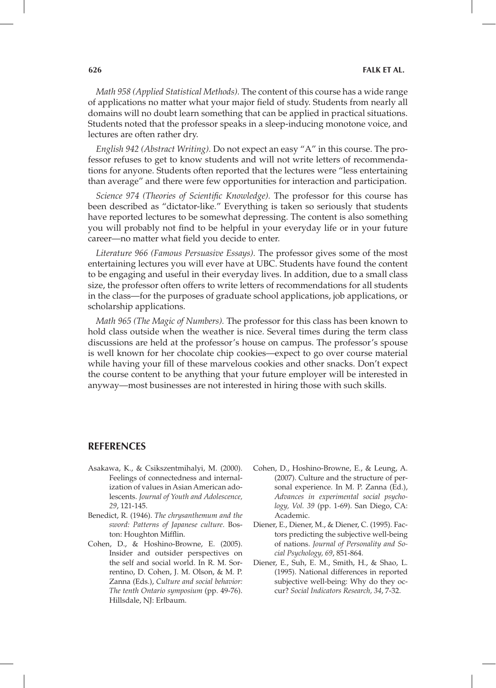*Math 958 (Applied Statistical Methods).* The content of this course has a wide range of applications no matter what your major field of study. Students from nearly all domains will no doubt learn something that can be applied in practical situations. Students noted that the professor speaks in a sleep-inducing monotone voice, and lectures are often rather dry.

*English 942 (Abstract Writing).* Do not expect an easy "A" in this course. The professor refuses to get to know students and will not write letters of recommendations for anyone. Students often reported that the lectures were "less entertaining than average" and there were few opportunities for interaction and participation.

*Science 974 (Theories of Scientific Knowledge).* The professor for this course has been described as "dictator-like." Everything is taken so seriously that students have reported lectures to be somewhat depressing. The content is also something you will probably not find to be helpful in your everyday life or in your future career—no matter what field you decide to enter.

*Literature 966 (Famous Persuasive Essays).* The professor gives some of the most entertaining lectures you will ever have at UBC. Students have found the content to be engaging and useful in their everyday lives. In addition, due to a small class size, the professor often offers to write letters of recommendations for all students in the class—for the purposes of graduate school applications, job applications, or scholarship applications.

*Math 965 (The Magic of Numbers).* The professor for this class has been known to hold class outside when the weather is nice. Several times during the term class discussions are held at the professor's house on campus. The professor's spouse is well known for her chocolate chip cookies—expect to go over course material while having your fill of these marvelous cookies and other snacks. Don't expect the course content to be anything that your future employer will be interested in anyway—most businesses are not interested in hiring those with such skills.

# **References**

- Asakawa, K., & Csikszentmihalyi, M. (2000). Feelings of connectedness and internalization of values in Asian American adolescents. *Journal of Youth and Adolescence, 29*, 121-145.
- Benedict, R. (1946). *The chrysanthemum and the sword: Patterns of Japanese culture*. Boston: Houghton Mifflin.
- Cohen, D., & Hoshino-Browne, E. (2005). Insider and outsider perspectives on the self and social world. In R. M. Sorrentino, D. Cohen, J. M. Olson, & M. P. Zanna (Eds.), *Culture and social behavior: The tenth Ontario symposium* (pp. 49-76). Hillsdale, NJ: Erlbaum.
- Cohen, D., Hoshino-Browne, E., & Leung, A. (2007). Culture and the structure of personal experience. In M. P. Zanna (Ed.), *Advances in experimental social psychology, Vol. 39* (pp. 1-69). San Diego, CA: Academic.
- Diener, E., Diener, M., & Diener, C. (1995). Factors predicting the subjective well-being of nations. *Journal of Personality and Social Psychology, 69*, 851-864.
- Diener, E., Suh, E. M., Smith, H., & Shao, L. (1995). National differences in reported subjective well-being: Why do they occur? *Social Indicators Research, 34*, 7-32.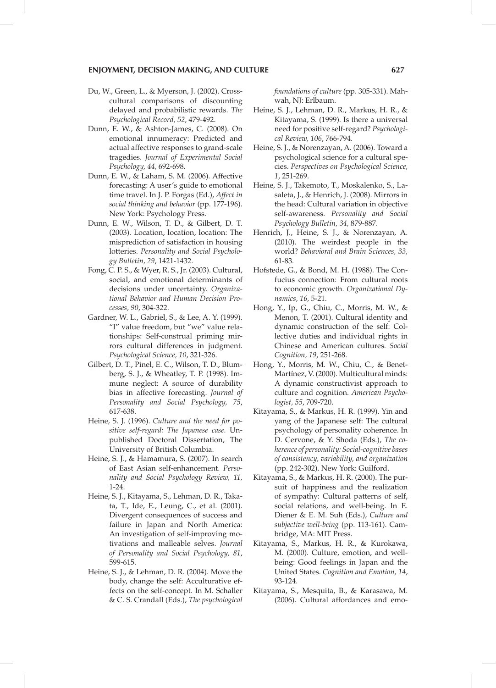- Du, W., Green, L., & Myerson, J. (2002). Crosscultural comparisons of discounting delayed and probabilistic rewards. *The Psychological Record, 52,* 479-492.
- Dunn, E. W., & Ashton-James, C. (2008). On emotional innumeracy: Predicted and actual affective responses to grand-scale tragedies. *Journal of Experimental Social Psychology, 44,* 692-698*.*
- Dunn, E. W., & Laham, S. M. (2006). Affective forecasting: A user's guide to emotional time travel. In J. P. Forgas (Ed.), *Affect in social thinking and behavior* (pp. 177-196). New York: Psychology Press.
- Dunn, E. W., Wilson, T. D., & Gilbert, D. T. (2003). Location, location, location: The misprediction of satisfaction in housing lotteries. *Personality and Social Psychology Bulletin, 29*, 1421-1432.
- Fong, C. P. S., & Wyer, R. S., Jr. (2003). Cultural, social, and emotional determinants of decisions under uncertainty. *Organizational Behavior and Human Decision Processes, 90*, 304-322.
- Gardner, W. L., Gabriel, S., & Lee, A. Y. (1999). "I" value freedom, but "we" value relationships: Self-construal priming mirrors cultural differences in judgment. *Psychological Science, 10*, 321-326.
- Gilbert, D. T., Pinel, E. C., Wilson, T. D., Blumberg, S. J., & Wheatley, T. P. (1998). Immune neglect: A source of durability bias in affective forecasting. *Journal of Personality and Social Psychology, 75*, 617-638.
- Heine, S. J. (1996). *Culture and the need for positive self-regard: The Japanese case.* Unpublished Doctoral Dissertation, The University of British Columbia.
- Heine, S. J., & Hamamura, S. (2007). In search of East Asian self-enhancement. *Personality and Social Psychology Review, 11,*  1-24.
- Heine, S. J., Kitayama, S., Lehman, D. R., Takata, T., Ide, E., Leung, C., et al. (2001). Divergent consequences of success and failure in Japan and North America: An investigation of self-improving motivations and malleable selves. *Journal of Personality and Social Psychology, 81*, 599-615.
- Heine, S. J., & Lehman, D. R. (2004). Move the body, change the self: Acculturative effects on the self-concept. In M. Schaller & C. S. Crandall (Eds.), *The psychological*

*foundations of culture* (pp. 305-331). Mahwah, NJ: Erlbaum.

- Heine, S. J., Lehman, D. R., Markus, H. R., & Kitayama, S. (1999). Is there a universal need for positive self-regard? *Psychological Review, 106*, 766-794.
- Heine, S. J., & Norenzayan, A. (2006). Toward a psychological science for a cultural species. *Perspectives on Psychological Science, 1*, 251-269.
- Heine, S. J., Takemoto, T., Moskalenko, S., Lasaleta, J., & Henrich, J. (2008). Mirrors in the head: Cultural variation in objective self-awareness. *Personality and Social Psychology Bulletin, 34,* 879-887.
- Henrich, J., Heine, S. J., & Norenzayan, A. (2010). The weirdest people in the world? *Behavioral and Brain Sciences, 33,*  61-83.
- Hofstede, G., & Bond, M. H. (1988). The Confucius connection: From cultural roots to economic growth. *Organizational Dynamics, 16,* 5-21.
- Hong, Y., Ip, G., Chiu, C., Morris, M. W., & Menon, T. (2001). Cultural identity and dynamic construction of the self: Collective duties and individual rights in Chinese and American cultures. *Social Cognition, 19*, 251-268.
- Hong, Y., Morris, M. W., Chiu, C., & Benet-Martínez, V. (2000). Multicultural minds: A dynamic constructivist approach to culture and cognition. *American Psychologist, 55*, 709-720.
- Kitayama, S., & Markus, H. R. (1999). Yin and yang of the Japanese self: The cultural psychology of personality coherence. In D. Cervone, & Y. Shoda (Eds.), *The coherence of personality: Social-cognitive bases of consistency, variability, and organization* (pp. 242-302). New York: Guilford.
- Kitayama, S., & Markus, H. R. (2000). The pursuit of happiness and the realization of sympathy: Cultural patterns of self, social relations, and well-being. In E. Diener & E. M. Suh (Eds.), *Culture and subjective well-being* (pp. 113-161). Cambridge, MA: MIT Press.
- Kitayama, S., Markus, H. R., & Kurokawa, M. (2000). Culture, emotion, and wellbeing: Good feelings in Japan and the United States. *Cognition and Emotion, 14*, 93-124.
- Kitayama, S., Mesquita, B., & Karasawa, M. (2006). Cultural affordances and emo-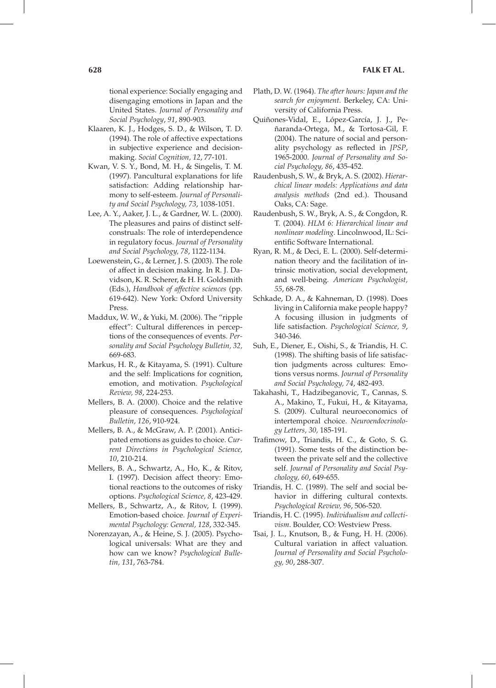tional experience: Socially engaging and disengaging emotions in Japan and the United States. *Journal of Personality and Social Psychology*, *91*, 890-903.

- Klaaren, K. J., Hodges, S. D., & Wilson, T. D. (1994). The role of affective expectations in subjective experience and decisionmaking. *Social Cognition, 12*, 77-101.
- Kwan, V. S. Y., Bond, M. H., & Singelis, T. M. (1997). Pancultural explanations for life satisfaction: Adding relationship harmony to self-esteem. *Journal of Personality and Social Psychology, 73*, 1038-1051.
- Lee, A. Y., Aaker, J. L., & Gardner, W. L. (2000). The pleasures and pains of distinct selfconstruals: The role of interdependence in regulatory focus. *Journal of Personality and Social Psychology, 78*, 1122-1134.
- Loewenstein, G., & Lerner, J. S. (2003). The role of affect in decision making. In R. J. Davidson, K. R. Scherer, & H. H. Goldsmith (Eds.), *Handbook of affective sciences* (pp. 619-642). New York: Oxford University Press.
- Maddux, W. W., & Yuki, M. (2006). The "ripple effect": Cultural differences in perceptions of the consequences of events. *Personality and Social Psychology Bulletin, 32,*  669-683.
- Markus, H. R., & Kitayama, S. (1991). Culture and the self: Implications for cognition, emotion, and motivation. *Psychological Review, 98*, 224-253.
- Mellers, B. A. (2000). Choice and the relative pleasure of consequences. *Psychological Bulletin, 126*, 910-924.
- Mellers, B. A., & McGraw, A. P. (2001). Anticipated emotions as guides to choice. *Current Directions in Psychological Science, 10*, 210-214.
- Mellers, B. A., Schwartz, A., Ho, K., & Ritov, I. (1997). Decision affect theory: Emotional reactions to the outcomes of risky options. *Psychological Science, 8*, 423-429.
- Mellers, B., Schwartz, A., & Ritov, I. (1999). Emotion-based choice. *Journal of Experimental Psychology: General, 128*, 332-345.
- Norenzayan, A., & Heine, S. J. (2005). Psychological universals: What are they and how can we know? *Psychological Bulletin, 131*, 763-784.
- Plath, D. W. (1964). *The after hours: Japan and the search for enjoyment.* Berkeley, CA: University of California Press.
- Quiñones-Vidal, E., López-García, J. J., Peñaranda-Ortega, M., & Tortosa-Gil, F. (2004). The nature of social and personality psychology as reflected in *JPSP*, 1965-2000. *Journal of Personality and Social Psychology, 86*, 435-452.
- Raudenbush, S. W., & Bryk, A. S. (2002). *Hierarchical linear models: Applications and data analysis methods* (2nd ed.). Thousand Oaks, CA: Sage.
- Raudenbush, S. W., Bryk, A. S., & Congdon, R. T. (2004). *HLM 6: Hierarchical linear and nonlinear modeling.* Lincolnwood, IL: Scientific Software International.
- Ryan, R. M., & Deci, E. L. (2000). Self-determination theory and the facilitation of intrinsic motivation, social development, and well-being. *American Psychologist, 55*, 68-78.
- Schkade, D. A., & Kahneman, D. (1998). Does living in California make people happy? A focusing illusion in judgments of life satisfaction. *Psychological Science, 9*, 340-346.
- Suh, E., Diener, E., Oishi, S., & Triandis, H. C. (1998). The shifting basis of life satisfaction judgments across cultures: Emotions versus norms. *Journal of Personality and Social Psychology, 74*, 482-493.
- Takahashi, T., Hadzibeganovic, T., Cannas, S. A., Makino, T., Fukui, H., & Kitayama, S. (2009). Cultural neuroeconomics of intertemporal choice. *Neuroendocrinology Letters, 30,* 185-191.
- Trafimow, D., Triandis, H. C., & Goto, S. G. (1991). Some tests of the distinction between the private self and the collective self. *Journal of Personality and Social Psychology, 60*, 649-655.
- Triandis, H. C. (1989). The self and social behavior in differing cultural contexts. *Psychological Review, 96*, 506-520.
- Triandis, H. C. (1995). *Individualism and collectivism*. Boulder, CO: Westview Press.
- Tsai, J. L., Knutson, B., & Fung, H. H. (2006). Cultural variation in affect valuation. *Journal of Personality and Social Psychology, 90*, 288-307.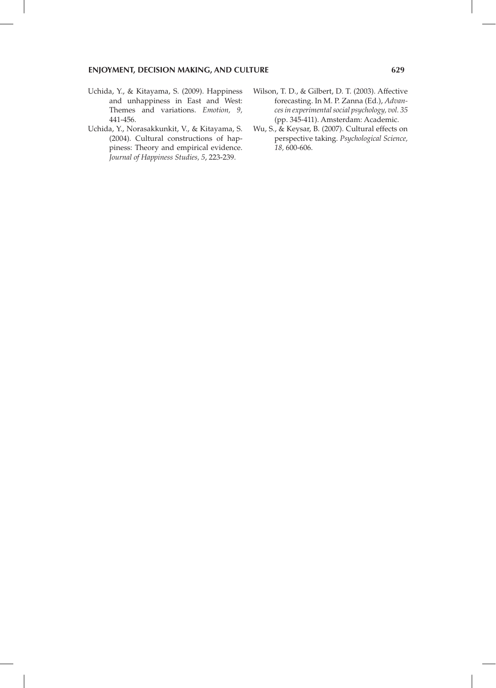- Uchida, Y., & Kitayama, S. (2009). Happiness and unhappiness in East and West: Themes and variations. *Emotion, 9,*  441-456.
- Uchida, Y., Norasakkunkit, V., & Kitayama, S. (2004). Cultural constructions of happiness: Theory and empirical evidence. *Journal of Happiness Studies, 5*, 223-239.
- Wilson, T. D., & Gilbert, D. T. (2003). Affective forecasting. In M. P. Zanna (Ed.), *Advances in experimental social psychology, vol. 35* (pp. 345-411). Amsterdam: Academic.
- Wu, S., & Keysar, B. (2007). Cultural effects on perspective taking. *Psychological Science, 18,* 600-606.